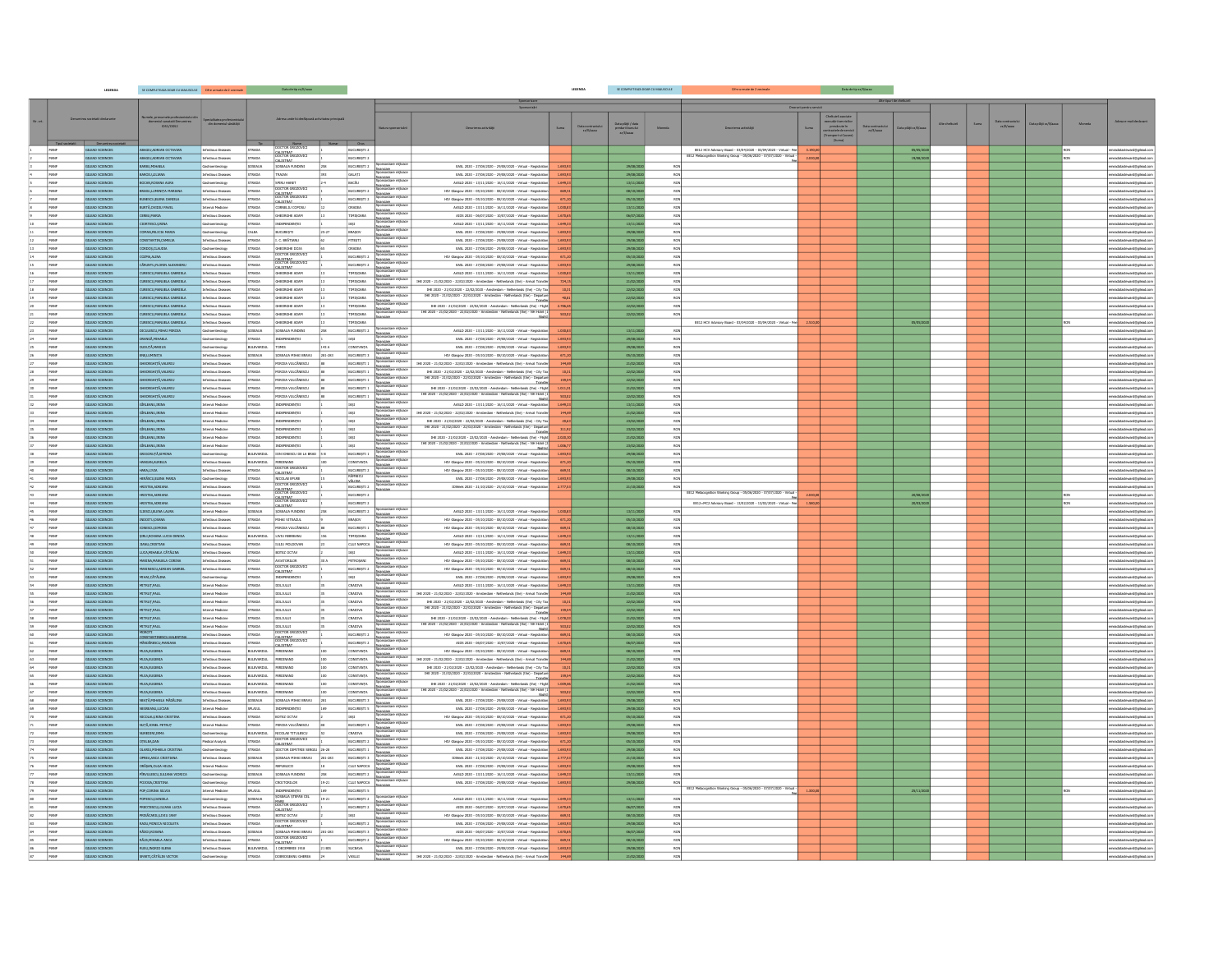|                 |              | LEGENDA                            | SE COMPLETEAZA DOAR CU MAJUSCULE Cifre urmate de 2 zecimale                 |                                                     |                                | Data de tip $\pi z/\hbar/a$ aaa                    |         |                                 |                                                                                                                                                    |                                                                                                                                                                                                                                                                                                                                                       |                | LEGENDA                     | SE COMPLETEAZA DOAR CU                                |            |                                                                                                                                                   |          |                                                                                                                              |                       |                |      |                               |     |                                                      |
|-----------------|--------------|------------------------------------|-----------------------------------------------------------------------------|-----------------------------------------------------|--------------------------------|----------------------------------------------------|---------|---------------------------------|----------------------------------------------------------------------------------------------------------------------------------------------------|-------------------------------------------------------------------------------------------------------------------------------------------------------------------------------------------------------------------------------------------------------------------------------------------------------------------------------------------------------|----------------|-----------------------------|-------------------------------------------------------|------------|---------------------------------------------------------------------------------------------------------------------------------------------------|----------|------------------------------------------------------------------------------------------------------------------------------|-----------------------|----------------|------|-------------------------------|-----|------------------------------------------------------|
|                 |              |                                    |                                                                             |                                                     |                                |                                                    |         |                                 |                                                                                                                                                    |                                                                                                                                                                                                                                                                                                                                                       |                |                             |                                                       |            |                                                                                                                                                   |          |                                                                                                                              |                       |                |      |                               |     |                                                      |
|                 |              |                                    |                                                                             |                                                     |                                |                                                    |         |                                 |                                                                                                                                                    |                                                                                                                                                                                                                                                                                                                                                       |                |                             |                                                       |            |                                                                                                                                                   |          |                                                                                                                              |                       |                |      |                               |     |                                                      |
|                 |              |                                    | nele, prenumele proresionezui.<br>domeniul sanatatii Denumirea<br>IDS1/ODS2 | ecialitatea profesionista<br>din domeniul sănătății |                                |                                                    |         |                                 |                                                                                                                                                    |                                                                                                                                                                                                                                                                                                                                                       |                |                             |                                                       |            |                                                                                                                                                   |          |                                                                                                                              |                       |                |      |                               |     |                                                      |
|                 |              |                                    |                                                                             |                                                     |                                |                                                    |         |                                 |                                                                                                                                                    |                                                                                                                                                                                                                                                                                                                                                       | Suma           | Data contractu<br>zz/E/aaaa | Data plátji / data<br>predari bunului<br>$zz/l/a$ aaa |            |                                                                                                                                                   |          | executirii servicilio<br>previzute in<br>contractele de servi<br>(Tramport si Cazani<br>(Suma)<br>ita contractu<br>zz/l/aann |                       | Alte cheltures | Suma | lata contractui<br>zz/ll/assa |     |                                                      |
|                 |              |                                    |                                                                             |                                                     |                                |                                                    |         |                                 |                                                                                                                                                    |                                                                                                                                                                                                                                                                                                                                                       |                |                             |                                                       |            |                                                                                                                                                   |          |                                                                                                                              |                       |                |      |                               |     |                                                      |
|                 |              |                                    |                                                                             |                                                     |                                | DOCTOR GROZOVICE                                   |         | mar Oras                        |                                                                                                                                                    |                                                                                                                                                                                                                                                                                                                                                       |                |                             |                                                       |            |                                                                                                                                                   |          |                                                                                                                              |                       |                |      |                               |     |                                                      |
|                 | MANF<br>MANE | GILEAD SCIENCES<br>GILEAD SCIENCES | ABAGIU,ADRIAN OCTAVIAN<br>ABAGIU ADRIAN OCTAVIAN                            | Infectious Diseases<br><b>Infectious Diseases</b>   | <b>STRADA</b><br><b>STRADA</b> | DOCTOR GROZOVICE                                   |         | BUCURESTI 2<br>BUQURESTI 2      |                                                                                                                                                    |                                                                                                                                                                                                                                                                                                                                                       |                |                             |                                                       |            | EE12 HCV Advisory Board - 03/04/2020 - 03/04/2020 - Virtual - Fee 3.190,00<br>EE12 Metacognition Working Group - 05/06/2020 - 07/07/2020 - Virtua | 2,030.00 |                                                                                                                              | 05/05/202<br>19/08/20 |                |      |                               | RON | emeadatasteward@glead.c<br>meadatasteward@gilead.com |
|                 | MANE         | GILEAD SCIENCES                    | ARBUMINAELA                                                                 |                                                     | SOSEALIA                       | CALISTRAT<br>SOSEAUA FUNDENI                       |         | BUCURESTI 2                     |                                                                                                                                                    | EASL 2020 - 27/08/2020 - 29/08/2020 - Virtual - Registration                                                                                                                                                                                                                                                                                          | 1.693          |                             | 29/08/3                                               | ROM        |                                                                                                                                                   |          |                                                                                                                              |                       |                |      |                               |     | atesteward@glead.com                                 |
|                 | MANF         | GILEAD SCIENCES                    | AMAILLUID                                                                   | ctious Diseases                                     | <b>STRADA</b>                  | TRAIAN                                             |         | GALATI Spons                    | lotzare mijoace                                                                                                                                    | EASL 2020 - 27/08/2020 - 29/08/2020 - Virtual - Registration                                                                                                                                                                                                                                                                                          | 1.693          |                             | 29/08/2                                               | RON        |                                                                                                                                                   |          |                                                                                                                              |                       |                |      |                               |     |                                                      |
|                 | MANE         | GILEAD SCIENCES                    | <b>CONURCIONA AURA</b>                                                      | streaments                                          | <b>STRADA</b>                  |                                                    |         | BACÃU                           |                                                                                                                                                    | AASLD 2020 - 13/11/2020 - 16/11/2020 - Virtual - Registration                                                                                                                                                                                                                                                                                         | 1.649          |                             | 13/11/20                                              | RON        |                                                                                                                                                   |          |                                                                                                                              |                       |                |      |                               |     | datasteward@glead.com                                |
|                 | MANE         | GILEAD SCIENCES                    | MOULUMINITA MARIANA                                                         | fectious Diseases                                   | <b>STRADA</b>                  | DOCTOR GROZOVIC                                    |         | BUCURESTI 2                     | <u>financiare</u><br>Sponsorizare mijloace                                                                                                         | HIV Glasgow 2020 - 05/10/2020 - 08/10/2020 - Virtual - Registration                                                                                                                                                                                                                                                                                   | 669            |                             | 08/10/20                                              | RON        |                                                                                                                                                   |          |                                                                                                                              |                       |                |      |                               |     | adatasteward@glead.co                                |
|                 | MANE         | GILEAD SCIENCES                    | UNESCULFLENA DANIELA                                                        | fectious Diseases                                   | <b>STRADA</b>                  | CALISTRAT<br>DOCTOR GROZOVICI<br>CALISTRAT         |         | BUCURESTI 2                     | <u>financiare</u><br>Sponsorizare mijioace                                                                                                         | HIV Glasgow 2020 - 05/10/2020 - 08/10/2020 - Virtual - Registration                                                                                                                                                                                                                                                                                   | 671,2          |                             | 05/10/20                                              | RON        |                                                                                                                                                   |          |                                                                                                                              |                       |                |      |                               |     | adatasteward@glead.co                                |
|                 | MANE         | GILEAD SCIENCES                    | BURTĂ OVIDIU PAVEL                                                          | Internal Medicine                                   | <b>STRADA</b>                  | CORNELIU COPOSU                                    |         | ORADEA                          |                                                                                                                                                    | AASLD 2020 - 13/11/2020 - 16/11/2020 - Virtual - Registration                                                                                                                                                                                                                                                                                         | 1.030,8        |                             | 13/11/20                                              | RON        |                                                                                                                                                   |          |                                                                                                                              |                       |                |      |                               |     | meadatasteward@glead.com                             |
|                 | MANF         | GILEAD SCIENCES                    | CERBUJMARIA                                                                 | <b>fectious Diseases</b>                            | <b>STRADA</b>                  | GHORGHE ADAM                                       |         | <b>TIMISOARA</b>                | sorizare mijioace<br>Sine                                                                                                                          | AIDS 2020 - 06/07/2020 - 10/07/2020 - Virtual - Registration                                                                                                                                                                                                                                                                                          | 1.670          |                             | 06/07/20                                              | RON        |                                                                                                                                                   |          |                                                                                                                              |                       |                |      |                               |     | <b>Internet follow com</b>                           |
|                 | MANE         | GILEAD SCIENCES                    | CRTESCULRINA                                                                | extension                                           | <b>STRADA</b>                  | INDEPENDENTE                                       |         | LASI                            |                                                                                                                                                    | AASLD 2020 - 13/11/2020 - 16/11/2020 - Virtual - Registration                                                                                                                                                                                                                                                                                         | 1.649          |                             | 13/11/20                                              | RON        |                                                                                                                                                   |          |                                                                                                                              |                       |                |      |                               |     |                                                      |
|                 | MANF         | GILEAD SCIENCES                    | MAN, FELICIA MARIA                                                          | vpolosatna                                          | CALEA                          | BUCURESTI                                          |         | BRASOV                          | s<br>tzare mijioace<br>nesse<br>modzare mijoace<br>modzare mijoace                                                                                 | EASL 2020 - 27/08/2020 - 29/08/2020 - Virtual - Registration                                                                                                                                                                                                                                                                                          |                |                             | 29/08/20                                              | RON        |                                                                                                                                                   |          |                                                                                                                              |                       |                |      |                               |     |                                                      |
|                 | MANF         | GILEAD SCIENCES                    | <b>STANTIN, CAMELIA</b>                                                     | ctious Diseases                                     | <b>STRADA</b>                  | L C. BRĂTIANU                                      |         | PITESTI                         | Antune<br>nanviane<br>nanvizare mijioace                                                                                                           | EASL 2020 - 27/08/2020 - 29/08/2020 - Virtual - Registration                                                                                                                                                                                                                                                                                          | 1.693          |                             | 29/08/20                                              | RON        |                                                                                                                                                   |          |                                                                                                                              |                       |                |      |                               |     | vard@glead.com                                       |
|                 | MANF         | GILEAD SCIENCES                    | CORDOS, CLAUDEA                                                             | vpolenstmente                                       | <b>STRADA</b>                  | GHEORGHE DOJA<br>DOCTOR GROZOVICI                  |         | ORADEA                          | anciare<br>Anciare<br>Constant miloace                                                                                                             | EASL 2020 - 27/08/2020 - 29/08/2020 - Virtual - Registration                                                                                                                                                                                                                                                                                          | 1.693          |                             | 29/08/202                                             | RON        |                                                                                                                                                   |          |                                                                                                                              |                       |                |      |                               |     | meadatasteward@glead.com                             |
|                 | MANE         | GILEAD SCIENCES<br>GILEAD SCIENCES | <b>ANLIA ANDO</b><br>.<br>CÁRUNTU FLORIN ALEXANDRI                          | Mectious Diseases                                   | <b>STRADA</b><br><b>STRADA</b> | CALISTRAT<br>InncTOR GROZOVICI                     |         | BUCURESTI 2<br>BUCURESTI 2      | financiare                                                                                                                                         | HIV Glasgow 2020 - 05/10/2020 - 08/10/2020 - Virtual - Registration                                                                                                                                                                                                                                                                                   | 671            |                             | 05/10/2020                                            | RON<br>RON |                                                                                                                                                   |          |                                                                                                                              |                       |                |      |                               |     | eadatasteward@glead.com                              |
|                 | MANF<br>MANE | GILEAD SCIENCES                    | IRESCU/MANUELA GABRIELA                                                     | <b>Infectious Diseases</b><br>fectious Diseases     | <b>STRADA</b>                  | CALISTRAT<br>GHEORGHE ADAM                         |         | TIMIŞOARA                       |                                                                                                                                                    | EASL 2020 - 27/08/2020 - 29/08/2020 - Virtual - Registration<br>AASLD 2020 - 13/11/2020 - 16/11/2020 - Virtual - Registration                                                                                                                                                                                                                         | 1.693;         |                             | 29/08/20                                              | RON        |                                                                                                                                                   |          |                                                                                                                              |                       |                |      |                               |     | atasteward@glead.com                                 |
|                 | MANE         | GILEAD SCIENCES                    | URESCU, MANUELA GABRIELA                                                    | ectious Diseases                                    | <b>STRADA</b>                  | GHORGHE ADAM                                       |         | TIMIŞQARA                       |                                                                                                                                                    | IHE 2020 - 21/02/2020 - 22/02/2020 - Amsterdam - Netherlands (the) - Arrival Transfer                                                                                                                                                                                                                                                                 |                |                             | 13/11/20<br>21/02/20                                  | RON        |                                                                                                                                                   |          |                                                                                                                              |                       |                |      |                               |     | atasteward@glead.com                                 |
| 18              | MANE         | GILEAD SCIENCES                    | CURESCU, MANUELA GABRIELA                                                   | rfectious Diseases                                  | <b>STRADA</b>                  | GHEORGHE ADAM                                      |         | TIMIŞDARA                       | financiare<br>Sconsorizare milioace                                                                                                                |                                                                                                                                                                                                                                                                                                                                                       |                |                             | 22/02/20                                              | RON        |                                                                                                                                                   |          |                                                                                                                              |                       |                |      |                               |     | meadatasteward@glead.com                             |
|                 | MANE         | GILEAD SCIENCES                    | JURESCU, MANUELA GABRIELA                                                   | Infectious Diseases                                 | <b>STRADA</b>                  | GHEORGHE ADAM                                      |         | <b>TIMISOARA</b>                | <u>financiare</u><br>Sovreovizare milinare                                                                                                         | IHE 2020 - 21/02/2020 - 22/02/2020 - Amsterdam - Netherlands (the) - City Tax<br>IHE 2020 - 21/02/2020 - 22/02/2020 - Amsterdam - Netherlands (the) - Departure                                                                                                                                                                                       | 40.8           |                             | 22/02/20                                              | RON        |                                                                                                                                                   |          |                                                                                                                              |                       |                |      |                               |     | meadatasteward@glead.com                             |
|                 | MANE         | GILEAD SCIENCES                    | AJRESCU MANUELA GABRIELA                                                    | <b>Infectious Diseases</b>                          | <b>STRADA</b>                  | GHORGHE ADAM                                       |         | <b>TIMISOARA</b>                | ociace                                                                                                                                             | IHE 2020 - 21/02/2020 - 22/02/2020 - Amsterdam - Netherlands (the) - Flight                                                                                                                                                                                                                                                                           | 2,786.6        |                             | 22/02/21                                              | RON        |                                                                                                                                                   |          |                                                                                                                              |                       |                |      |                               |     | meadatasteward@glead.com                             |
|                 | MANF         | GILEAD SCIENCES                    | <b>IRESTITMANIELA GARRIFLA</b>                                              | ectious Diseases                                    | <b>STRADA</b>                  | GHORGHE ADAM                                       |         | TIMIŞDARA                       | sosizire mijoace<br>Sine                                                                                                                           | THE 2020 - 21/02/2020 - 22/02/2020 - Amsterdam - Netherlands (the) - NH Hotel (1                                                                                                                                                                                                                                                                      |                |                             | 22/02/20                                              | <b>DOM</b> |                                                                                                                                                   |          |                                                                                                                              |                       |                |      |                               |     | tasteward@gilead.com                                 |
|                 | MANF         | GILEAD SCIENCES                    | RESCUMANUELA GABRIELA                                                       | fectious Diseases                                   | <b>STRADA</b>                  | GHEORGHE ADAM                                      |         | TIMIŞDARA                       |                                                                                                                                                    |                                                                                                                                                                                                                                                                                                                                                       |                |                             |                                                       |            | EE12 HCV Advisory Board - 03/04/2020 - 03/04/2020 - Virtual - Fer                                                                                 |          |                                                                                                                              | 05/05/2               |                |      |                               |     |                                                      |
|                 | MANF         | GILEAD SCIENCES                    | CULESCU, MIHAL MIRCEA                                                       | roenterology                                        | SOSEAUA                        | SOSEAUA FUNDENI                                    |         | BUCURESTI 2                     | Sponsorizare mijioace<br><u>eviano</u><br>onsorizare mijioace                                                                                      | AASLD 2020 - 13/11/2020 - 16/11/2020 - Virtual - Registration                                                                                                                                                                                                                                                                                         | 1.030          |                             | 13/11/20                                              |            |                                                                                                                                                   |          |                                                                                                                              |                       |                |      |                               |     | atasteward@glead.com                                 |
|                 | MANF         | GILEAD SCIENCES                    | <b>RANGĂ, MIHAELA</b>                                                       | ypolonstnsc                                         | <b>STRADA</b>                  | <b>INDEPENDENTEL</b>                               |         | LASI                            | anciare<br>Traine militate                                                                                                                         | EASL 2020 - 27/08/2020 - 29/08/2020 - Virtual - Registration                                                                                                                                                                                                                                                                                          | 1.693,9        |                             | 29/08/20                                              | RON        |                                                                                                                                                   |          |                                                                                                                              |                       |                |      |                               |     | ward@glead.com                                       |
|                 | MANE         | GILEAD SCIENCES                    | <b>CUDUTĂ, MARIUS</b>                                                       | ypoloratheorite                                     | BULEVARDUL TOMIS               |                                                    | 143 A   | CONSTANTA                       |                                                                                                                                                    | EASL 2020 - 27/08/2020 - 29/08/2020 - Virtual - Registration                                                                                                                                                                                                                                                                                          | 1.693          |                             | 29/08/20                                              | RON        |                                                                                                                                                   |          |                                                                                                                              |                       |                |      |                               |     | neadatasteward@glead.com                             |
|                 | MANE         | GILEAD SCIENCES                    | ENE,LUMINITA                                                                | ctious Diseases                                     | <b>SOSEAUA</b>                 | SOSEALIA MIHAI BRAVU                               | 281-283 | BUCURESTI 3                     |                                                                                                                                                    | HIV Glasgow 2020 - 05/10/2020 - 08/10/2020 - Virtual - Registration                                                                                                                                                                                                                                                                                   |                |                             | 05/10/20                                              | RON        |                                                                                                                                                   |          |                                                                                                                              |                       |                |      |                               |     |                                                      |
|                 | MANE         | GILEAD SCIENCES                    | <b>EORGHITÄVALERIL</b>                                                      | lous Diseases                                       | <b>STRADA</b>                  | MIRCEA VULCĂNESCU                                  |         | BUCURESTI1 않                    | a<br>Izare mijioace                                                                                                                                | IHE 2020 - 21/02/2020 - 22/02/2020 - Arraterdam - Netherlands (the) - Arrival Transfer                                                                                                                                                                                                                                                                |                |                             | 21/02                                                 | RON<br>RON |                                                                                                                                                   |          |                                                                                                                              |                       |                |      |                               |     |                                                      |
| 28              | MANF<br>MANF | GILEAD SCIENCES<br>GILEAD SCIENCES | GHEORGHTÄVALERIU<br>EORGHITÄ VALERIU                                        | fectious Diseases<br>ectious Diseases               | <b>STRADA</b><br><b>STRADA</b> | MIRCEA VULCĂNESCU<br>MIRCEA VULCĂNESCU             |         | BUCURESTI 1                     | BUCURESTI 1 Sponsorizare militarce                                                                                                                 | 1HE 2020 - 21/02/2020 - 22/02/2020 - Armsterdam - Netherlands (the) - City Tax<br>1HE 2020 - 21/02/2020 - 22/02/2020 - Armsterdam - Netherlands (the) - Departure                                                                                                                                                                                     |                |                             | 22/02/20<br>22/02/20                                  | RON        |                                                                                                                                                   |          |                                                                                                                              |                       |                |      |                               |     | datasteward@glead.com<br>ward@glead.com              |
| 30              | MANE         | GILEAD SCIENCES                    | HEORGHITÄVALERIU                                                            | fectious Diseases                                   | <b>STRADA</b>                  | MIRCEA VULCĂNESCU                                  |         | BUCURESTI 1                     | financiare<br>Sponsorizare mijloace                                                                                                                | IHE 2020 - 21/02/2020 - 22/02/2020 - Amsterdam - Netherlands (the) - Flight                                                                                                                                                                                                                                                                           | 1.011,0        |                             | 21/02/20                                              | RON        |                                                                                                                                                   |          |                                                                                                                              |                       |                |      |                               |     | adatasteward@glead.com                               |
|                 | MANE         | GILEAD SCIENCES                    | PEORGHITÄVALERIU                                                            | <b>fectious Diseases</b>                            | <b>STRADA</b>                  | MIRCEA VULCĂNESCU                                  |         | BUCURESTI 1                     |                                                                                                                                                    | IHE 2020 - 21/02/2020 - 22/02/2020 - Amsterdam - Netherlands (the) - NH Hotel                                                                                                                                                                                                                                                                         | sns            |                             | 22/02/20                                              | RON        |                                                                                                                                                   |          |                                                                                                                              |                       |                |      |                               |     | neadatasteward@gilead.com                            |
|                 | MANE         | GILEAD SCIENCES                    | AKBILIANA-LIE                                                               | ternal Medicine                                     | <b>STRADA</b>                  | INDEPENDENTEL                                      |         | <b>IASI</b>                     | <b>Enanciare</b><br>Sponsorizare mijibace                                                                                                          | AASLD 2020 - 13/11/2020 - 16/11/2020 - Virtual - Registration                                                                                                                                                                                                                                                                                         | 1.649,         |                             | 13/11/20                                              | RON        |                                                                                                                                                   |          |                                                                                                                              |                       |                |      |                               |     | datasteward@glead.com                                |
|                 | MANF         | GILEAD SCIENCES                    | AKBILIANA                                                                   |                                                     | <b>STRADA</b>                  | <b>INDEPENDENTEL</b>                               |         | LAST                            |                                                                                                                                                    | IHE 2020 - 21/02/2020 - 22/02/2020 - Amsterdam - Netherlands (the) - Arrival Transfer                                                                                                                                                                                                                                                                 |                |                             | 21/02/20                                              | RON        |                                                                                                                                                   |          |                                                                                                                              |                       |                |      |                               |     |                                                      |
|                 | MANF         | GILEAD SCIENCES                    | ANDRUMAZIË                                                                  | temal Medicine                                      | <b>STRADA</b>                  | <b>INDEPENDENTEL</b>                               |         | <b>LAST</b>                     |                                                                                                                                                    | IHE 2020 - 21/02/2020 - 22/02/2020 - Armsterdam - Natherlands (the) - City Tax                                                                                                                                                                                                                                                                        |                |                             | 23/02/2                                               | RON        |                                                                                                                                                   |          |                                                                                                                              |                       |                |      |                               |     | vard@glead.co                                        |
|                 | MANF         | GILEAD SCIENCES                    | AKRIJUMA:                                                                   | temal Medicine                                      | <b>STRADA</b>                  | моелемоемтел                                       |         | <b>LAST</b>                     | Sponsorizer mijozor<br>Sponsorizer mijozor<br>Georgian<br>Sponsorizer mijozor<br>Sponsorizer mijozor<br>Sponsorizer mijozor<br>Sponsorizer mijozor | $\frac{1000}{2020 - 21/02/2020 - 24/04/2020 - 3 \cdot \ldots \cdot} \cdot \frac{1000}{2020 - 21/02/2020 - 21/02/2020 - 4 \cdot \ldots \cdot} \cdot \frac{1000}{20000} \cdot \frac{1000}{20000} \cdot \frac{1000}{2000} \cdot \frac{1000}{2000} \cdot \frac{1000}{2000} \cdot \frac{1000}{2000} \cdot \frac{1000}{2000} \cdot \frac{1000}{2000} \cdot$ |                |                             | 23/02/20                                              | RON        |                                                                                                                                                   |          |                                                                                                                              |                       |                |      |                               |     | datasteward@glead.cor                                |
|                 | MANF         | GILEAD SCIENCES                    | ANDIUMALIS                                                                  | ternal Medicine                                     | <b>STRADA</b>                  | моенноемтел                                        |         | LAST                            | financiare<br>Sponsorizare milioace                                                                                                                | IHE 2020 - 21/02/2020 - 22/02/2020 - Amsterdam - Netherlands (the) - Flight<br>THE 2020 - 21/02/2020 - 22/02/2020 - Amsterdam - Netherlands (the) - NH Hotel (2)                                                                                                                                                                                      | 2.020,3        |                             | 21/02/20                                              | RON        |                                                                                                                                                   |          |                                                                                                                              |                       |                |      |                               |     | adatasteward@glead.com                               |
|                 | MANE         | GILEAD SCIENCES                    | <b>GÜLLEANU, IRINA</b>                                                      | Internal Medicine                                   | <b>STRADA</b>                  | моенноемтел                                        |         | LASI                            | Sponsotzian<br>Examine mijoace<br>Sponsotzian mijoace<br>Sponsotzian mijoac                                                                        |                                                                                                                                                                                                                                                                                                                                                       | 1.006          |                             | 23/02/20                                              | RON        |                                                                                                                                                   |          |                                                                                                                              |                       |                |      |                               |     | meadatasteward@glead.com                             |
|                 | MANE         | GILEAD SCIENCES                    | GRIGORUTĂ SIMONA                                                            | pertention                                          |                                | BULEVARDUL JON IONESCU DE LA BRAD 5 B              |         | BUCURESTI 1                     |                                                                                                                                                    | EASL 2020 - 27/08/2020 - 29/08/2020 - Virtual - Registration                                                                                                                                                                                                                                                                                          | 1,693.9        |                             | 29/08/20                                              | RON        |                                                                                                                                                   |          |                                                                                                                              |                       |                |      |                               |     | datasteward@olead.com                                |
|                 | MANF<br>MANF | GILEAD SCIENCES<br>GILEAD SCIENCES | ALIBRUA, NAGNA                                                              | fectious Diseases                                   | BULEVARDUL FERDINAND           |                                                    |         |                                 | EUCLIN <sub>CO</sub> Instantine military<br>CONSTANTA Sponsorizes military<br>Sponsorizes military                                                 | HIV Glasgow 2020 - 05/10/2020 - 08/10/2020 - Virtual - Registration                                                                                                                                                                                                                                                                                   |                |                             | 05/10/2<br>08/10/20                                   | RON<br>RON |                                                                                                                                                   |          |                                                                                                                              |                       |                |      |                               |     | atasteward@glead.com                                 |
|                 | MANE         | GILEAD SCIENCES                    | ARA,LIVIA<br>ERÄSCU,ELENA MARIA                                             | <b>fectious Diseases</b><br>ypoloratmon             | <b>STRADA</b><br><b>STRADA</b> | NICOLAE EFURE                                      |         |                                 | BUCUREȘTI 2 Sponsorizare mijioace<br>BĂMNICU Sponsorizare mijioace<br>Vâl CFA financiate                                                           | HIV Glasgow 2020 - 05/10/2020 - 08/10/2020 - Virtual - Registration<br>EASL 2020 - 27/08/2020 - 29/08/2020 - Virtual - Registration                                                                                                                                                                                                                   | 669<br>1.693,9 |                             | 29/08/20                                              | ROM        |                                                                                                                                                   |          |                                                                                                                              |                       |                |      |                               |     | meadatasteward@glead.com<br>adatasteward@glead.com   |
|                 | MANE         | GILEAD SCIENCES                    | HRISTEA,ADRIANA                                                             | Infectious Diseases                                 | <b>STRADA</b>                  | DOCTOR GROZOVIC                                    |         | BUCURESTI 2                     | financiare<br>Sonnendrare milinare                                                                                                                 | IDWeek 2020 - 21/10/2020 - 25/10/2020 - Virtual - Registration                                                                                                                                                                                                                                                                                        | 2.277          |                             | 21/10/202                                             | RON        |                                                                                                                                                   |          |                                                                                                                              |                       |                |      |                               |     | emeadatasteward@glead.com                            |
|                 | MANF         | GILEAD SCIENCES                    | HRISTEA ADRIANA                                                             | Mectious Diseases                                   | <b>STRADA</b>                  | CALISTRAT<br>DOCTOR GROZOVICI                      |         | BUCURESTI 2                     |                                                                                                                                                    |                                                                                                                                                                                                                                                                                                                                                       |                |                             |                                                       |            | EE12 Metacognition Working Group - 05/06/2020 - 07/07/2020 - Virtual                                                                              | 2.030.00 |                                                                                                                              | 20/08/2               |                |      |                               |     | meadatasteward@gilead.com                            |
|                 | MANE         | GILEAD SCIENCES                    | AKAINDA ADITAL                                                              | <b>Fectious Diseases</b>                            | <b>STRADA</b>                  | CALISTRAT<br>DOCTOR GROZOVICI                      |         | BUQURESTI 2                     |                                                                                                                                                    |                                                                                                                                                                                                                                                                                                                                                       |                |                             |                                                       |            | EE12-MC2 Advisory Board - 13/02/2020 - 13/02/2020 - Virtual - Fee                                                                                 | 1.580.0  |                                                                                                                              |                       |                |      |                               |     | atasteward@glead.com                                 |
|                 | MANE         | GILEAD SCIENCES                    | <b>ILIESCU, ELENA LAURA</b>                                                 | Ismal Medicine                                      | <b>SOSEAUA</b>                 | SOSEAUA FUNDENI                                    |         |                                 | BUCURESTI 2 Sponsostane mijloace<br>BRASOV Sponsostane mijloace                                                                                    | AASLD 2020 - 13/11/2020 - 16/11/2020 - Virtual - Registration                                                                                                                                                                                                                                                                                         | 1.030          |                             | 13/11/3                                               |            |                                                                                                                                                   |          |                                                                                                                              |                       |                |      |                               |     | ard@glead.co                                         |
|                 | MANE         | GILEAD SCIENCES                    | AMAXO,UTTOCH                                                                | ctious Diseases                                     | <b>STRADA</b>                  | MIHAI VITEAZUL                                     |         | BRASOV                          | sciase.<br>mioriziare mijioace                                                                                                                     | HIV Glasgow 2020 - 05/10/2020 - 08/10/2020 - Virtual - Registration                                                                                                                                                                                                                                                                                   | 671,           |                             | 05/10/2                                               | RON        |                                                                                                                                                   |          |                                                                                                                              |                       |                |      |                               |     | atasteward@glead.com                                 |
|                 | MANE         | GILEAD SCIENCES                    | AVIONIS, UDBENION                                                           | ectious Diseases                                    | <b>STRADA</b>                  | MIRCEA VULCĂNESCU                                  |         | BUCURESTI 1                     | ciase<br>sentzare mijoace                                                                                                                          | HIV Glasgow 2020 - 05/10/2020 - 08/10/2020 - Virtual - Registration                                                                                                                                                                                                                                                                                   | 669            |                             | 08/10/20                                              | RON<br>RON |                                                                                                                                                   |          |                                                                                                                              |                       |                |      |                               |     | adatasteward@glead.com                               |
|                 | MANE<br>MANF | GILEAD SCIENCES<br>GILEAD SCIENCES | SIRLLAOXANA LUCIA DENISA<br><b>JEANU CRISTIAN</b>                           | nternal Medicine<br><b>fectious Diseases</b>        | <b>STRADA</b>                  | BULEVARDUL LIVIU REBREANU<br><b>JULIU MOLDOVAN</b> |         | <b>TIMISOARA</b><br>CLU3 NAPOCA | onciae mpao<br>onorize mpao<br>onorize mpao                                                                                                        | AASLD 2020 - 13/11/2020 - 16/11/2020 - Virtual - Registration<br>HIV Glasgow 2020 - 05/10/2020 - 08/10/2020 - Virtual - Registration                                                                                                                                                                                                                  | 1.649,3<br>669 |                             | 13/11/20<br>08/10/20                                  | RON        |                                                                                                                                                   |          |                                                                                                                              |                       |                |      |                               |     | meadatasteward@glead.com<br>meadatasteward@olead.com |
|                 | MANE         | GILEAD SCIENCES                    | LUCA MEHAELA CĂTĂLINA                                                       | <b>tious Diseases</b>                               | STRADA                         | BOTEZ OCTAV                                        |         | LAST                            |                                                                                                                                                    | AASLD 2020 - 13/11/2020 - 16/11/2020 - Virtual - Registration                                                                                                                                                                                                                                                                                         | 1.649.3        |                             | 13/11/20                                              | RON        |                                                                                                                                                   |          |                                                                                                                              |                       |                |      |                               |     | erd@glead.com                                        |
|                 | MANE         | GILEAD SCIENCES                    | ASNAJAMNJELA CORINA                                                         | ctious Diseases                                     | <b>STRADA</b>                  | AVIATORILO                                         |         | PETROSANI                       | anciare<br>oniorizare mijoace<br>oniorizare mijoace                                                                                                | HIV Glasgow 2020 - 05/10/2020 - 08/10/2020 - Virtual - Registration                                                                                                                                                                                                                                                                                   | 669            |                             | 08/10/20                                              | RON        |                                                                                                                                                   |          |                                                                                                                              |                       |                |      |                               |     | Jatasteward@glead.com                                |
|                 | MANE         | GILEAD SCIENCES                    | ARINESCU,ADRIAN GABRI                                                       | fectious Diseases                                   | <b>STRADA</b>                  | DOCTOR GROZOVICE                                   |         | BUCURESTI 2                     | Sponsortew-<br>financiare<br>Americane militare                                                                                                    | HIV Glasgow 2020 - 05/10/2020 - 08/10/2020 - Virtual - Registration                                                                                                                                                                                                                                                                                   | 669            |                             | 08/10/20                                              | RON        |                                                                                                                                                   |          |                                                                                                                              |                       |                |      |                               |     | adatasteward@glead.com                               |
|                 | MANE         | GILEAD SCIENCES                    | <b>ANLIÄTÄLINA</b>                                                          | stroenterology                                      | <b>STRADA</b>                  | <b>NDEPENDENTEI</b>                                |         | LAST                            | financiare<br>Sponsorizare mitoace                                                                                                                 | EASL 2020 - 27/08/2020 - 29/08/2020 - Virtual - Registration                                                                                                                                                                                                                                                                                          | 1.693,9        |                             | 29/08/20                                              | RON        |                                                                                                                                                   |          |                                                                                                                              |                       |                |      |                               |     | meadatasteward@glead.com                             |
|                 | MANE         | GILEAD SCIENCES                    | <b>JUAN TURTIN</b>                                                          | stemal Medicine                                     | <b>STRADA</b>                  | loouuur                                            |         | CRAZOVA                         | financiare<br>Sponsorizare mijloace                                                                                                                | AASLD 2020 - 13/11/2020 - 16/11/2020 - Virtual - Registration                                                                                                                                                                                                                                                                                         | 1.649.3        |                             | 13/11/20                                              | RON        |                                                                                                                                                   |          |                                                                                                                              |                       |                |      |                               |     | meadatasteward@glead.com                             |
|                 | MANE         | GILEAD SCIENCES                    | <b>MITRUT, PAUL</b>                                                         | temal Medicine                                      | <b>STRADA</b>                  | oouuur                                             |         | CRAZOVA                         | financiare<br>Sponsorizare mijloace                                                                                                                | IHE 2020 - 21/02/2020 - 22/02/2020 - Amsterdam - Netherlands (the) - Amival Transfer                                                                                                                                                                                                                                                                  |                |                             | 21/02/20                                              | RON        |                                                                                                                                                   |          |                                                                                                                              |                       |                |      |                               |     | Jatasteward@glead.com                                |
|                 |              | GILEAD SCIENCES                    | <b>TRUT, PAUL</b>                                                           | emal Medicine                                       | <b>STRADA</b>                  | pornman                                            |         | CRAIDVA                         |                                                                                                                                                    | IHE 2020 - 21/02/2020 - 22/02/2020 - Armiterdam - Netherlands (the) - Oty Tax<br>IHE 2020 - 21/02/2020 - Anywermen - Americano - Netherlands (the) - Departure<br>IHE 2020 - 21/02/2020 - 22/02/2020 - Amsterdam - Netherlands (the) - Departure                                                                                                      |                |                             | 22/02/3                                               | RON        |                                                                                                                                                   |          |                                                                                                                              |                       |                |      |                               |     |                                                      |
|                 | MANE<br>MANE | GILEAD SCIENCES                    | <b>JUAR TURTER</b>                                                          | ntemal Medicine                                     | <b>STRADA</b>                  | portment                                           |         | CRADVA                          | financiare<br>Sponsorizare mijoace<br>financiare<br>Sponsorizare mijoace                                                                           |                                                                                                                                                                                                                                                                                                                                                       |                |                             | 22/02/20                                              | RON        |                                                                                                                                                   |          |                                                                                                                              |                       |                |      |                               |     | adatasteward@glead.com                               |
|                 | MANE         | GILEAD SCIENCES<br>GILEAD SCIENCES | <b>JUAR TURTI</b><br><b>TRUT, PAUL</b>                                      | <b>ternal Medicine</b><br>nternal Medicine          | <b>STRADA</b><br><b>STRADA</b> | pouuur<br>pouuur                                   |         | CRAIDVA<br><b>CRAIGNA</b>       |                                                                                                                                                    | IHE 2020 - 21/02/2020 - 22/02/2020 - Amsterdam - Natherlands (the) - Fight<br>IHE 2020 - 21/02/2020 - Across Care - Montanaum -<br>THE 2020 - 21/02/2020 - 22/02/2020 - Arraterdam - Netherlands (the) - NH Hotel (1                                                                                                                                  | 1.078<br>503   |                             | 21/02/21<br>22/02/20                                  | RON<br>RON |                                                                                                                                                   |          |                                                                                                                              |                       |                |      |                               |     | ward@glead.cor<br>meadatasteward@gilead.com          |
|                 | MANE         | GILEAD SCIENCES                    | OROTI<br>ONSTANTINESCU VALENTINA                                            | Infectious Diseases                                 | <b>STRADA</b>                  | DOCTOR GROS                                        |         | BUCURESTI 2                     | series<br>consolzare mijisac<br>series                                                                                                             | HIV Glasgow 2020 - 05/10/2020 - 08/10/2020 - Virtual - Registration                                                                                                                                                                                                                                                                                   | 669,           |                             | 08/10/20                                              | RON        |                                                                                                                                                   |          |                                                                                                                              |                       |                |      |                               |     | meadatasteward@glead.com                             |
|                 | MANE         | GILEAD SCIENCES                    | <b>MÄRDÄRESCUM</b>                                                          | Hectious Diseases                                   | <b>STRADA</b>                  | CALISTRAT<br>CALISTRAT                             |         | BUQURESTI 2                     |                                                                                                                                                    | AIDS 2020 - 06/07/2020 - 10/07/2020 - Virtual - Registration                                                                                                                                                                                                                                                                                          | 1.670          |                             | 06/07/28                                              | RON        |                                                                                                                                                   |          |                                                                                                                              |                       |                |      |                               |     | Jatasteward@glead.com                                |
|                 | MANF         | GILEAD SCIENCES                    | MUJA,EUGENIA                                                                | Fectious Diseases                                   | <b>BULEVARDUL</b>              |                                                    |         |                                 | CONSTANTA Sportsorizare militare<br>CONSTANTA Sportsorizare militare<br>CONSTANTA Sportsorizare militare                                           | HIV Glasgow 2020 - 05/10/2020 - 08/10/2020 - Virtual - Registration                                                                                                                                                                                                                                                                                   | 660            |                             | 08/10/20                                              | RON        |                                                                                                                                                   |          |                                                                                                                              |                       |                |      |                               |     |                                                      |
|                 | MANE         | GILEAD SCIENCES                    | AUJA, EUGENIA                                                               | <b>fectious Diseases</b>                            | BULEVARDUL FERDINAND           |                                                    |         | <b>CONSTANTA</b>                |                                                                                                                                                    | IHE 2020 - 21/02/2020 - 22/02/2020 - Amsterdam - Netherlands (the) - Arrival Transfe                                                                                                                                                                                                                                                                  |                |                             | 21/02/21                                              | RON        |                                                                                                                                                   |          |                                                                                                                              |                       |                |      |                               |     |                                                      |
|                 | MANF         | GILEAD SCIENCES                    | AUJA, EUGENIA                                                               | fectious Diseases                                   | BULEVARDUL FERDINAND           |                                                    |         | <b>CONSTANTA</b>                | vinciare<br>consorizare militaice<br>inanciare<br>Sconsorizare mijloace                                                                            | IHE 2020 - 21/02/2020 - 22/02/2020 - Amsterdam - Netherlands (the) - City Tax                                                                                                                                                                                                                                                                         |                |                             | 22/02/20                                              | RON        |                                                                                                                                                   |          |                                                                                                                              |                       |                |      |                               |     | meadatasteward@glead.com                             |
|                 | MANE         | GILEAD SCIENCES                    | AINSOUR, MUN                                                                | fectious Diseases                                   | BULEVARDUL FERDINAND           |                                                    |         |                                 | CONSTANTA Promotive<br>Promotive millions                                                                                                          |                                                                                                                                                                                                                                                                                                                                                       | 150            |                             | 22/02/20                                              | RON        |                                                                                                                                                   |          |                                                                                                                              |                       |                |      |                               |     | meadatasteward@gilead.com                            |
|                 | MANE         | GILEAD SCIENCES                    | MUJA EUGENIA                                                                | rfectious Diseases                                  | BULEVARDUL PERDINAND           |                                                    |         | CONSTANTA                       | viane<br>niorizane mijloace                                                                                                                        | IHE 2020 - 21/02/2020 - 22/02/2020 - Amsterdam - Netherlands (the) - Flight<br>IHE 2020 - 21/02/2020 - 22/02/2020 - Amsterdam - Netherlands (the) - NH Hotel                                                                                                                                                                                          | 1,009.8        |                             | 21/02/20                                              | RON        |                                                                                                                                                   |          |                                                                                                                              |                       |                |      |                               |     | meadatasteward@glead.com                             |
|                 |              | GILEAD SCIENCES                    | ABASUGENIA                                                                  | <b>Jous Diseases</b>                                | BULEVARDUL PERDINAND           |                                                    |         | CONSTANTA                       |                                                                                                                                                    |                                                                                                                                                                                                                                                                                                                                                       |                |                             | 22/02/20                                              | RON        |                                                                                                                                                   |          |                                                                                                                              |                       |                |      |                               |     |                                                      |
|                 | MANE         | GILEAD SCIENCES                    | eată,Mihaela nădălina                                                       | fectious Diseases                                   | <b>SOSEAUA</b>                 | SOSEAUA MIHALB<br>моерекоектет                     |         | BUCURESTI 3                     | ciare<br>sorizare mijioace                                                                                                                         | EASL 2020 - 27/08/2020 - 29/08/2020 - Virtual - Registration                                                                                                                                                                                                                                                                                          | 1.693          |                             | 29/08/2                                               | RON        |                                                                                                                                                   |          |                                                                                                                              |                       |                |      |                               |     | ward@glead.com                                       |
|                 | MANF<br>MANE | GILEAD SCIENCES<br>GILEAD SCIENCES | EGREANU,LUCIAN<br>ICOLAU, IRINA CRISTIN                                     | tenal Medicine                                      | SPLAIUL<br><b>STRADA</b>       | BOTEZ OCTAV                                        |         | BUCURESTI S                     |                                                                                                                                                    | EASL 2020 - 27/08/2020 - 29/08/2020 - Virtual - Registration                                                                                                                                                                                                                                                                                          | 671            |                             | 29/08/20                                              | RON<br>RON |                                                                                                                                                   |          |                                                                                                                              |                       |                |      |                               |     | atasteward@glead.cor                                 |
|                 | MANE         | GILEAD SCIENCES                    | NUTĂ, IONEL PETRUȚ                                                          | ectious Diseases<br><b>Islamal Medicine</b>         | <b>STRADA</b>                  | MIRCEA VULCĂNESCU                                  |         | LASI<br>BUCURESTI 1             |                                                                                                                                                    | HIV Glasgow 2020 - 05/10/2020 - 08/10/2020 - Virtual - Registration<br>EASL 2020 - 27/08/2020 - 29/08/2020 - Virtual - Registration                                                                                                                                                                                                                   | 1.693          |                             | 05/10/20<br>29/08/20                                  | RON        |                                                                                                                                                   |          |                                                                                                                              |                       |                |      |                               |     | adatasteward@glead.com<br>meadatasteward@glead.com   |
|                 | MANF         | GILEAD SCIENCES                    | AMILIARED M                                                                 | streaments                                          |                                | BULEVARDUL   NICOLAE TITULESCU                     |         | CRAZOVA                         | $\frac{1}{100}$                                                                                                                                    | EASL 2020 - 27/08/2020 - 29/08/2020 - Virtual - Registration                                                                                                                                                                                                                                                                                          | 1,693          |                             | 29/08/202                                             | RON        |                                                                                                                                                   |          |                                                                                                                              |                       |                |      |                               |     | eadatasteward@olead.com                              |
|                 |              |                                    |                                                                             |                                                     |                                |                                                    |         |                                 |                                                                                                                                                    | HIV Glasgow 2020 - 05/10/2020 - 08/10/2020 - Virtual - Recistratio                                                                                                                                                                                                                                                                                    | 671            |                             | 05/10/20                                              | RON        |                                                                                                                                                   |          |                                                                                                                              |                       |                |      |                               |     |                                                      |
|                 | MANE         | GILEAD SCIENCES                    | <b>TELEA, DAN</b>                                                           | <b>tedical Analysis</b>                             | <b>STRADA</b>                  |                                                    |         | BUCURESTI 2                     |                                                                                                                                                    |                                                                                                                                                                                                                                                                                                                                                       |                |                             |                                                       |            |                                                                                                                                                   |          |                                                                                                                              |                       |                |      |                               |     |                                                      |
|                 | MANE         | GILEAD SCIENCES                    | <b>JUARILI, MIHAELA CRISTINA</b>                                            | rterology                                           | STRADA                         | DOCTOR DIMITRIE SERGIU 26-28                       |         | BUCURESTI 1                     | zare mijloace                                                                                                                                      | EASL 2020 - 27/08/2020 - 29/08/2020 - Virtual - Registration                                                                                                                                                                                                                                                                                          | 1.693          |                             | 29/08/20                                              | RON        |                                                                                                                                                   |          |                                                                                                                              |                       |                |      |                               |     |                                                      |
|                 | MANE         | ILEAD SCIENCES                     | <b>DIREA, ANCA CRISTIAN</b>                                                 | tious Diseases                                      | <b>SOSEAUA</b>                 | SOSEAUA MIHAI BRAVU                                | 281-283 | BUCURESTI 3                     | $\frac{time}{value}$                                                                                                                               | IDWeek 2020 - 21/10/2020 - 25/10/2020 - Virtual - Registration                                                                                                                                                                                                                                                                                        |                |                             | 21/10/20                                              | RON        |                                                                                                                                                   |          |                                                                                                                              |                       |                |      |                               |     | atasteward@glead.com                                 |
| 76              | MANE         | GILEAD SCIENCES                    | ORÄSAN, OLGA HELDA                                                          | Internal Medicine                                   | <b>STRADA</b>                  | REPUBLICII                                         |         | CLU3 NAPOCA                     | nriano<br>nontrano milinaro                                                                                                                        | EASL 2020 - 27/08/2020 - 29/08/2020 - Virtual - Registration                                                                                                                                                                                                                                                                                          | 1.693,9        |                             | 29/08/20                                              | RON        |                                                                                                                                                   |          |                                                                                                                              |                       |                |      |                               |     | meadatasteward@glead.com                             |
|                 | MANE         | GILEAD SCIENCES                    | PÎRWLESCU JULIANA VIORICA                                                   | Sastroentendogy                                     | <b>SOSEAUA</b>                 | SOSEAUA FUNDENT                                    | 258     |                                 | financiare<br>Constitute militano                                                                                                                  | AASLD 2020 - 13/11/2020 - 16/11/2020 - Virtual - Registration                                                                                                                                                                                                                                                                                         | 1.649.3        |                             | 13/11/20                                              | RON        |                                                                                                                                                   |          |                                                                                                                              |                       |                |      |                               |     | meadatasteward@olead.com                             |
|                 | MANE         | GILEAD SCIENCES                    | OJOGA, CRISTINA                                                             |                                                     | <b>STRADA</b>                  | CROTTORILOR                                        | 19-21   | <b>QUI NAPOCA</b>               | BUCURESTI 2 Sportsesses                                                                                                                            | EASL 2020 - 27/08/2020 - 29/08/2020 - Virtual - Registration                                                                                                                                                                                                                                                                                          | 1.693          |                             | 29/08/2                                               | RON        |                                                                                                                                                   |          |                                                                                                                              |                       |                |      |                               |     | atasteward@glead.com                                 |
|                 | MANF         | GILEAD SCIENCES                    | OP,CORINA SILVIA                                                            | Ismal Medicine                                      | <b>SPLAIUL</b>                 | INDEPENDENTE<br><b>SEAUA STEFAN</b>                |         | BUCURESTI S                     |                                                                                                                                                    |                                                                                                                                                                                                                                                                                                                                                       |                |                             |                                                       |            | EE12 Metacognition Working Group - 05/06/2020 - 07/07/2020 - Virtual                                                                              | 1.300,00 |                                                                                                                              | 25/11                 |                |      |                               |     |                                                      |
|                 | MANE         | GILEAD SCIENCES                    | ABIMACLOSPIC                                                                | streaments                                          | SOSEAUA                        | MARE<br>DOCTOR GROZOVICI                           |         | BUCURESTI 2                     | financiare<br>Sponsorizare mijloace                                                                                                                | AASLD 2020 - 13/11/2020 - 16/11/2020 - Virtual - Registration                                                                                                                                                                                                                                                                                         | 1.649,         |                             | 13/11/21                                              | ROM        |                                                                                                                                                   |          |                                                                                                                              |                       |                |      |                               |     | datasteward@glead.com                                |
|                 | MANF<br>MANE | GILEAD SCIENCES<br>GILEAD SCIENCES | EOTESCU,LILIANA LUCIA<br>WALUMALIANS SERVE                                  | rfectious Diseases<br>fectious Diseases             | <b>STRADA</b><br><b>STRADA</b> | BOTEZ OCTAV                                        |         | BUCURESTI 2<br>LAST             | financiare<br>Sponsorizare mijloace                                                                                                                | AIDS 2020 - 06/07/2020 - 10/07/2020 - Virtual - Registration<br>HIV Glasgow 2020 - 05/10/2020 - 08/10/2020 - Virtual - Registration                                                                                                                                                                                                                   | 1.670<br>669,5 |                             | 06/07/20<br>08/10/20                                  | RON<br>RON |                                                                                                                                                   |          |                                                                                                                              |                       |                |      |                               |     | adatasteward@glead.com<br>adatasteward@glead.com     |
|                 | MANE         | GILEAD SCIENCES                    | RADUJNONICA NICOLETA                                                        | <b>Infectious Diseases</b>                          | <b>STRADA</b>                  | DOCTOR GROZOVIC                                    |         | BUQURESTI 2                     |                                                                                                                                                    | EASL 2020 - 27/08/2020 - 29/08/2020 - Virtual - Registration                                                                                                                                                                                                                                                                                          | 1,693          |                             | 29/08/20                                              | RON        |                                                                                                                                                   |          |                                                                                                                              |                       |                |      |                               |     | meadatasteward@glead.com                             |
|                 | MANF         | GILEAD SCIENCES                    | AMAXORIOGÃE                                                                 | <b>fectious Diseases</b>                            | <b>SOSEAUA</b>                 | CALISTRAT<br>SOSEAUA MIHAI BRAVU                   | 281-283 | BUCURESTI 3                     | sorizare mijioace                                                                                                                                  | AIDS 2020 - 06/07/2020 - 10/07/2020 - Virtual - Registration                                                                                                                                                                                                                                                                                          | 1.670          |                             | 06/07/28                                              | RON        |                                                                                                                                                   |          |                                                                                                                              |                       |                |      |                               |     | tasteward@glead.com                                  |
|                 | MANE         | GILEAD SCIENCES                    | <b>RÄUSJKIHAELA ANCA</b>                                                    | ectious Diseases                                    | <b>STRADA</b>                  | DOCTOR GROZOVICE                                   |         | BUCURESTI 2                     |                                                                                                                                                    | HIV Glasgow 2020 - 05/10/2020 - 08/10/2020 - Virtual - Registratio                                                                                                                                                                                                                                                                                    | $\omega$       |                             | 08/10/2                                               | RON        |                                                                                                                                                   |          |                                                                                                                              |                       |                |      |                               |     |                                                      |
| $\frac{86}{87}$ | MANF         | GILEAD SCIENCES<br>GILEAD SCIENCES | RUSU, INGRID ELENA<br>SFARTLCÄTÄLIN VICTOR                                  | fectious Diseases                                   | <b>STRADA</b>                  | BULEVARDUL 1 DECEMBRIE 1918<br>DOBROGEANU GHEREA   | 21885   | SUCEAVA<br>vasuut               | zare mijioace<br>financiare<br>Sconsorizare mijioace                                                                                               | EASL 2020 - 27/08/2020 - 29/08/2020 - Virtual - Registration<br>IHE 2020 - 21/02/2020 - 22/02/2020 - Amsterdam - Netherlands (the) - Arrival Transfer                                                                                                                                                                                                 |                |                             | 29/08/20<br>21/02/202                                 | RON        |                                                                                                                                                   |          |                                                                                                                              |                       |                |      |                               |     | teward@glead.com                                     |